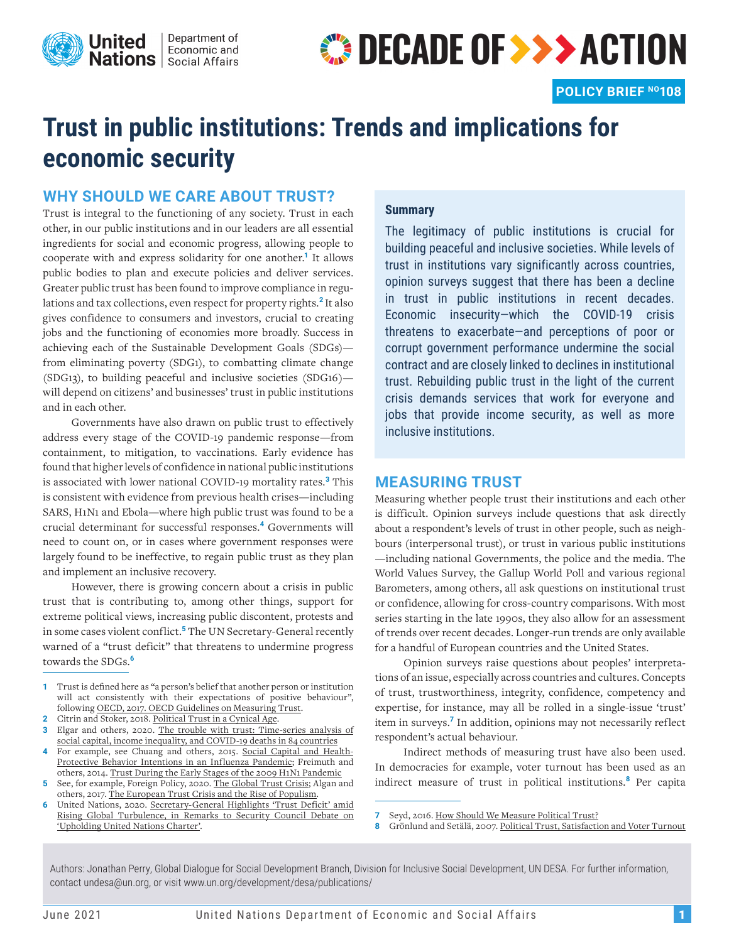

# **OECADE OF >>> ACTION**

## **Trust in public institutions: Trends and implications for economic security**

#### **WHY SHOULD WE CARE ABOUT TRUST?**

Trust is integral to the functioning of any society. Trust in each other, in our public institutions and in our leaders are all essential ingredients for social and economic progress, allowing people to cooperate with and express solidarity for one another.**<sup>1</sup>** It allows public bodies to plan and execute policies and deliver services. Greater public trust has been found to improve compliance in regulations and tax collections, even respect for property rights.**<sup>2</sup>** It also gives confidence to consumers and investors, crucial to creating jobs and the functioning of economies more broadly. Success in achieving each of the Sustainable Development Goals (SDGs) from eliminating poverty (SDG1), to combatting climate change (SDG13), to building peaceful and inclusive societies (SDG16) will depend on citizens' and businesses' trust in public institutions and in each other.

Governments have also drawn on public trust to effectively address every stage of the COVID-19 pandemic response—from containment, to mitigation, to vaccinations. Early evidence has found that higher levels of confidence in national public institutions is associated with lower national COVID-19 mortality rates.**<sup>3</sup>** This is consistent with evidence from previous health crises—including SARS, H1N1 and Ebola—where high public trust was found to be a crucial determinant for successful responses.**<sup>4</sup>** Governments will need to count on, or in cases where government responses were largely found to be ineffective, to regain public trust as they plan and implement an inclusive recovery.

However, there is growing concern about a crisis in public trust that is contributing to, among other things, support for extreme political views, increasing public discontent, protests and in some cases violent conflict.**<sup>5</sup>** The UN Secretary-General recently warned of a "trust deficit" that threatens to undermine progress towards the SDGs.**<sup>6</sup>**

- **1** Trust is defined here as "a person's belief that another person or institution will act consistently with their expectations of positive behaviour", following OECD, 2017. [OECD Guidelines on Measuring Trust.](https://www.oecd-ilibrary.org/governance/oecd-guidelines-on-measuring-trust_9789264278219-en)
- **2** Citrin and Stoker, 2018. [Political Trust in a Cynical Age.](https://www.annualreviews.org/doi/abs/10.1146/annurev-polisci-050316-092550)
- **3** Elgar and others, 2020. [The trouble with trust: Time-series analysis of](https://www.sciencedirect.com/science/article/abs/pii/S0277953620305840) [social capital, income inequality, and COVID-19 deaths in 84 countries](https://www.sciencedirect.com/science/article/abs/pii/S0277953620305840)
- **4** For example, see Chuang and others, 2015. [Social Capital and Health-](https://journals.plos.org/plosone/article?id=10.1371/journal.pone.0122970)[Protective Behavior Intentions in an Influenza Pandemic](https://journals.plos.org/plosone/article?id=10.1371/journal.pone.0122970); Freimuth and others, 2014. [Trust During the Early Stages of the 2009 H1N1 Pandemic](https://www.tandfonline.com/doi/abs/10.1080/10810730.2013.811323)
- **5** See, for example, Foreign Policy, 2020. [The Global Trust Crisis](https://foreignpolicy.com/2020/01/22/davos-world-leader-trust-institutions-populism-protest/); Algan and others, 2017. [The European Trust Crisis and the Rise of Populism.](https://www.jstor.org/stable/90019460)
- **6** United Nations, 2020. [Secretary-General Highlights 'Trust Deficit' amid](https://www.un.org/press/en/2020/sgsm19934.doc.htm)  [Rising Global Turbulence, in Remarks to Security Council Debate on](https://www.un.org/press/en/2020/sgsm19934.doc.htm)  ['Upholding United Nations Charter'](https://www.un.org/press/en/2020/sgsm19934.doc.htm).

#### **Summary**

The legitimacy of public institutions is crucial for building peaceful and inclusive societies. While levels of trust in institutions vary significantly across countries, opinion surveys suggest that there has been a decline in trust in public institutions in recent decades. Economic insecurity—which the COVID-19 crisis threatens to exacerbate—and perceptions of poor or corrupt government performance undermine the social contract and are closely linked to declines in institutional trust. Rebuilding public trust in the light of the current crisis demands services that work for everyone and jobs that provide income security, as well as more inclusive institutions.

#### **MEASURING TRUST**

Measuring whether people trust their institutions and each other is difficult. Opinion surveys include questions that ask directly about a respondent's levels of trust in other people, such as neighbours (interpersonal trust), or trust in various public institutions —including national Governments, the police and the media. The World Values Survey, the Gallup World Poll and various regional Barometers, among others, all ask questions on institutional trust or confidence, allowing for cross-country comparisons. With most series starting in the late 1990s, they also allow for an assessment of trends over recent decades. Longer-run trends are only available for a handful of European countries and the United States.

Opinion surveys raise questions about peoples' interpretations of an issue, especially across countries and cultures. Concepts of trust, trustworthiness, integrity, confidence, competency and expertise, for instance, may all be rolled in a single-issue 'trust' item in surveys.**<sup>7</sup>** In addition, opinions may not necessarily reflect respondent's actual behaviour.

Indirect methods of measuring trust have also been used. In democracies for example, voter turnout has been used as an indirect measure of trust in political institutions.**<sup>8</sup>** Per capita

Authors: Jonathan Perry, Global Dialogue for Social Development Branch, Division for Inclusive Social Development, UN DESA. For further information, contact undesa@un.org, or visit www.un.org/development/desa/publications/

**<sup>7</sup>** Seyd, 2016. [How Should We Measure Political Trust?](https://www.psa.ac.uk/sites/default/files/conference/papers/2016/Paper.v2.pdf)

**<sup>8</sup>** Grönlund and Setälä, 2007. [Political Trust, Satisfaction and Voter Turnout](https://www.researchgate.net/publication/31960520_Political_Trust_Satisfaction_and_Voter_Turnout)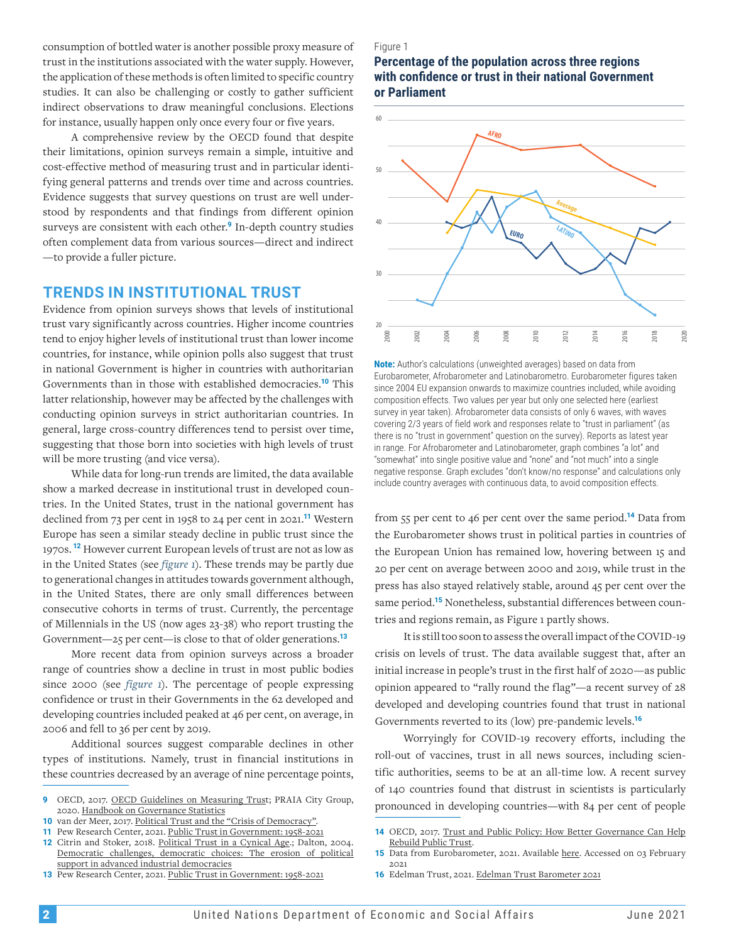consumption of bottled water is another possible proxy measure of trust in the institutions associated with the water supply. However, the application of these methods is often limited to specific country studies. It can also be challenging or costly to gather sufficient indirect observations to draw meaningful conclusions. Elections for instance, usually happen only once every four or five years.

A comprehensive review by the OECD found that despite their limitations, opinion surveys remain a simple, intuitive and cost-effective method of measuring trust and in particular identifying general patterns and trends over time and across countries. Evidence suggests that survey questions on trust are well understood by respondents and that findings from different opinion surveys are consistent with each other.**<sup>9</sup>** In-depth country studies often complement data from various sources—direct and indirect —to provide a fuller picture.

#### **TRENDS IN INSTITUTIONAL TRUST**

Evidence from opinion surveys shows that levels of institutional trust vary significantly across countries. Higher income countries tend to enjoy higher levels of institutional trust than lower income countries, for instance, while opinion polls also suggest that trust in national Government is higher in countries with authoritarian Governments than in those with established democracies.**<sup>10</sup>** This latter relationship, however may be affected by the challenges with conducting opinion surveys in strict authoritarian countries. In general, large cross-country differences tend to persist over time, suggesting that those born into societies with high levels of trust will be more trusting (and vice versa).

While data for long-run trends are limited, the data available show a marked decrease in institutional trust in developed countries. In the United States, trust in the national government has declined from 73 per cent in 1958 to 24 per cent in 2021.**<sup>11</sup>** Western Europe has seen a similar steady decline in public trust since the 1970s. **<sup>12</sup>** However current European levels of trust are not as low as in the United States (see *figure 1*). These trends may be partly due to generational changes in attitudes towards government although, in the United States, there are only small differences between consecutive cohorts in terms of trust. Currently, the percentage of Millennials in the US (now ages 23-38) who report trusting the Government—25 per cent—is close to that of older generations.**<sup>13</sup>**

More recent data from opinion surveys across a broader range of countries show a decline in trust in most public bodies since 2000 (see *figure 1*). The percentage of people expressing confidence or trust in their Governments in the 62 developed and developing countries included peaked at 46 per cent, on average, in 2006 and fell to 36 per cent by 2019.

Additional sources suggest comparable declines in other types of institutions. Namely, trust in financial institutions in these countries decreased by an average of nine percentage points,

- **10** van der Meer, 2017. [Political Trust and the "Crisis of Democracy"](https://oxfordre.com/view/10.1093/acrefore/9780190228637.001.0001/acrefore-9780190228637-e-77).
- **11** Pew Research Center, 2021. [Public Trust in Government: 1958-20](https://www.pewresearch.org/politics/2021/05/17/public-trust-in-government-1958-2021/)21

**12** Citrin and Stoker, 2018. [Political Trust in a Cynical Age](https://www.annualreviews.org/doi/abs/10.1146/annurev-polisci-050316-092550).; Dalton, 2004. [Democratic challenges, democratic choices: The erosion of political](https://oxford.universitypressscholarship.com/view/10.1093/acprof:oso/9780199268436.001.0001/acprof-9780199268436) [support in advanced industrial democracies](https://oxford.universitypressscholarship.com/view/10.1093/acprof:oso/9780199268436.001.0001/acprof-9780199268436)

**13** Pew Research Center, 2021. [Public Trust in Government: 1958-20](https://www.pewresearch.org/politics/2021/05/17/public-trust-in-government-1958-2021/)21

#### Figure 1

#### **Percentage of the population across three regions with confidence or trust in their national Government or Parliament**



**Note:** Author's calculations (unweighted averages) based on data from Eurobarometer, Afrobarometer and Latinobarometro. Eurobarometer figures taken since 2004 EU expansion onwards to maximize countries included, while avoiding composition effects. Two values per year but only one selected here (earliest survey in year taken). Afrobarometer data consists of only 6 waves, with waves covering 2/3 years of field work and responses relate to "trust in parliament" (as there is no "trust in government" question on the survey). Reports as latest year in range. For Afrobarometer and Latinobarometer, graph combines "a lot" and "somewhat" into single positive value and "none" and "not much" into a single negative response. Graph excludes "don't know/no response" and calculations only include country averages with continuous data, to avoid composition effects.

from 55 per cent to 46 per cent over the same period.**<sup>14</sup>** Data from the Eurobarometer shows trust in political parties in countries of the European Union has remained low, hovering between 15 and 20 per cent on average between 2000 and 2019, while trust in the press has also stayed relatively stable, around 45 per cent over the same period.**15** Nonetheless, substantial differences between countries and regions remain, as Figure 1 partly shows.

It is still too soon to assess the overall impact of the COVID-19 crisis on levels of trust. The data available suggest that, after an initial increase in people's trust in the first half of 2020—as public opinion appeared to "rally round the flag"—a recent survey of 28 developed and developing countries found that trust in national Governments reverted to its (low) pre-pandemic levels.**<sup>16</sup>**

Worryingly for COVID-19 recovery efforts, including the roll-out of vaccines, trust in all news sources, including scientific authorities, seems to be at an all-time low. A recent survey of 140 countries found that distrust in scientists is particularly pronounced in developing countries—with 84 per cent of people

**16** Edelman Trust, 2021. [Edelman Trust Barometer 2021](https://www.edelman.com/trust/2021-trust-barometer)

**<sup>9</sup>** OECD, 2017. [OECD Guidelines on Measuring Trust](https://www.oecd-ilibrary.org/governance/oecd-guidelines-on-measuring-trust_9789264278219-en); PRAIA City Group, 2020. [Handbook on Governance Statistics](https://ine.cv/praiagroup/wp-content/uploads/2020/08/PRAIA-Handbook-final_web.pdf)

**<sup>14</sup>** OECD, 2017. [Trust and Public Policy: How Better Governance Can Help](http://www.oecd.org/corruption-integrity/reports/trust-and-public-policy-9789264268920-en.html) [Rebuild Public Trust](http://www.oecd.org/corruption-integrity/reports/trust-and-public-policy-9789264268920-en.html).

<sup>15</sup> Data from Eurobarometer, 2021. Available [here.](https://ec.europa.eu/commfrontoffice/publicopinion/index.cfm/General/index) Accessed on 03 February 2021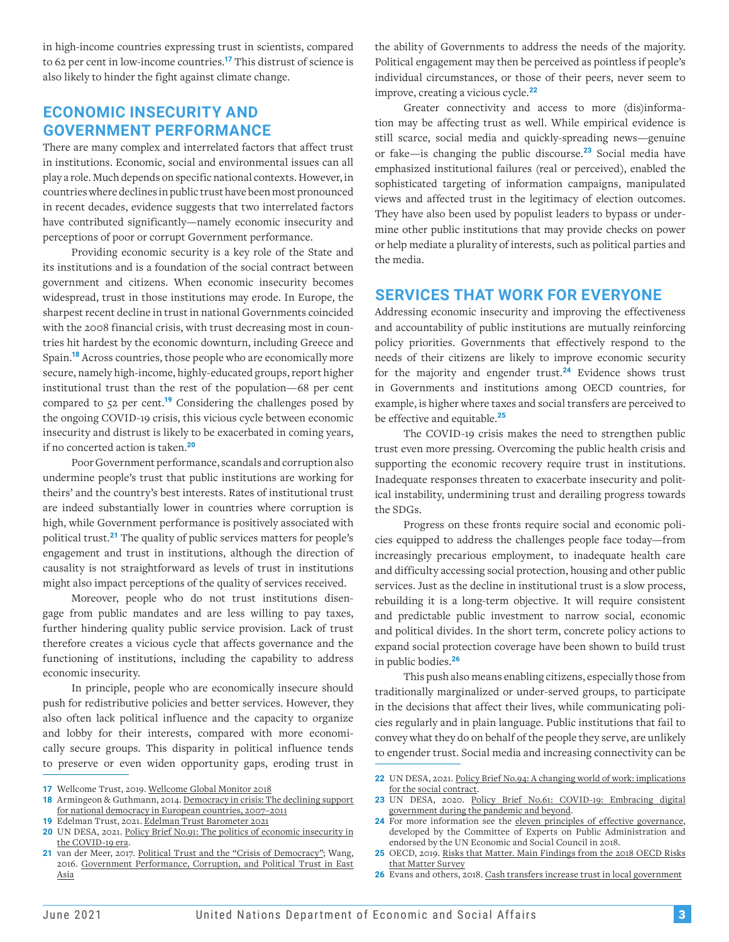in high-income countries expressing trust in scientists, compared to 62 per cent in low-income countries.**<sup>17</sup>** This distrust of science is also likely to hinder the fight against climate change.

### **ECONOMIC INSECURITY AND GOVERNMENT PERFORMANCE**

There are many complex and interrelated factors that affect trust in institutions. Economic, social and environmental issues can all play a role. Much depends on specific national contexts. However, in countries where declines in public trust have been most pronounced in recent decades, evidence suggests that two interrelated factors have contributed significantly—namely economic insecurity and perceptions of poor or corrupt Government performance.

Providing economic security is a key role of the State and its institutions and is a foundation of the social contract between government and citizens. When economic insecurity becomes widespread, trust in those institutions may erode. In Europe, the sharpest recent decline in trust in national Governments coincided with the 2008 financial crisis, with trust decreasing most in countries hit hardest by the economic downturn, including Greece and Spain.**<sup>18</sup>** Across countries, those people who are economically more secure, namely high-income, highly-educated groups, report higher institutional trust than the rest of the population—68 per cent compared to 52 per cent.**<sup>19</sup>** Considering the challenges posed by the ongoing COVID-19 crisis, this vicious cycle between economic insecurity and distrust is likely to be exacerbated in coming years, if no concerted action is taken.**<sup>20</sup>**

Poor Government performance, scandals and corruption also undermine people's trust that public institutions are working for theirs' and the country's best interests. Rates of institutional trust are indeed substantially lower in countries where corruption is high, while Government performance is positively associated with political trust.**<sup>21</sup>** The quality of public services matters for people's engagement and trust in institutions, although the direction of causality is not straightforward as levels of trust in institutions might also impact perceptions of the quality of services received.

Moreover, people who do not trust institutions disengage from public mandates and are less willing to pay taxes, further hindering quality public service provision. Lack of trust therefore creates a vicious cycle that affects governance and the functioning of institutions, including the capability to address economic insecurity.

In principle, people who are economically insecure should push for redistributive policies and better services. However, they also often lack political influence and the capacity to organize and lobby for their interests, compared with more economically secure groups. This disparity in political influence tends to preserve or even widen opportunity gaps, eroding trust in

the ability of Governments to address the needs of the majority. Political engagement may then be perceived as pointless if people's individual circumstances, or those of their peers, never seem to improve, creating a vicious cycle.**<sup>22</sup>**

Greater connectivity and access to more (dis)information may be affecting trust as well. While empirical evidence is still scarce, social media and quickly-spreading news—genuine or fake—is changing the public discourse.**<sup>23</sup>** Social media have emphasized institutional failures (real or perceived), enabled the sophisticated targeting of information campaigns, manipulated views and affected trust in the legitimacy of election outcomes. They have also been used by populist leaders to bypass or undermine other public institutions that may provide checks on power or help mediate a plurality of interests, such as political parties and the media.

#### **SERVICES THAT WORK FOR EVERYONE**

Addressing economic insecurity and improving the effectiveness and accountability of public institutions are mutually reinforcing policy priorities. Governments that effectively respond to the needs of their citizens are likely to improve economic security for the majority and engender trust.**<sup>24</sup>** Evidence shows trust in Governments and institutions among OECD countries, for example, is higher where taxes and social transfers are perceived to be effective and equitable.**<sup>25</sup>**

The COVID-19 crisis makes the need to strengthen public trust even more pressing. Overcoming the public health crisis and supporting the economic recovery require trust in institutions. Inadequate responses threaten to exacerbate insecurity and political instability, undermining trust and derailing progress towards the SDGs.

Progress on these fronts require social and economic policies equipped to address the challenges people face today—from increasingly precarious employment, to inadequate health care and difficulty accessing social protection, housing and other public services. Just as the decline in institutional trust is a slow process, rebuilding it is a long-term objective. It will require consistent and predictable public investment to narrow social, economic and political divides. In the short term, concrete policy actions to expand social protection coverage have been shown to build trust in public bodies.**<sup>26</sup>**

This push also means enabling citizens, especially those from traditionally marginalized or under-served groups, to participate in the decisions that affect their lives, while communicating policies regularly and in plain language. Public institutions that fail to convey what they do on behalf of the people they serve, are unlikely to engender trust. Social media and increasing connectivity can be

**<sup>17</sup>** Wellcome Trust, 2019. [Wellcome Global Monitor 2018](https://wellcome.org/reports/wellcome-global-monitor/2018)

**<sup>18</sup>** Armingeon & Guthmann, 2014. [Democracy in crisis: The declining support](https://ejpr.onlinelibrary.wiley.com/doi/abs/10.1111/1475-6765.12046) [for national democracy in European countries, 2007–2011](https://ejpr.onlinelibrary.wiley.com/doi/abs/10.1111/1475-6765.12046)

**<sup>19</sup>** Edelman Trust, 2021. [Edelman Trust Barometer 2021](https://www.edelman.com/trust/2021-trust-barometer)

**<sup>20</sup>** UN DESA, 2021. [Policy Brief No.91: The politics of economic insecurity](https://www.un.org/development/desa/dpad/publication/un-desa-policy-brief-91-the-politics-of-economic-insecurity-in-the-covid-19-era/) in the COVID-19 era.

van der Meer, 2017. [Political Trust and the "Crisis of Democracy";](https://oxfordre.com/view/10.1093/acrefore/9780190228637.001.0001/acrefore-9780190228637-e-77) Wang, 2016. [Government Performance, Corruption, and Political Trust in East](https://onlinelibrary.wiley.com/doi/abs/10.1111/ssqu.12223)  [Asia](https://onlinelibrary.wiley.com/doi/abs/10.1111/ssqu.12223)

**<sup>22</sup>** UN DESA, 2021. [Policy Brief No.94: A changing world of work: implications](https://www.un.org/development/desa/dpad/publication/un-desa-policy-brief-94-a-changing-world-of-work-implications-for-the-social-contract/) [for the social contract.](https://www.un.org/development/desa/dpad/publication/un-desa-policy-brief-94-a-changing-world-of-work-implications-for-the-social-contract/)

**<sup>23</sup>** UN DESA, 2020. [Policy Brief No.61: COVID-19: Embracing digital](https://www.un.org/development/desa/dpad/publication/un-desa-policy-brief-61-covid-19-embracing-digital-government-during-the-pandemic-and-beyond/)  [government during the pandemic and beyond.](https://www.un.org/development/desa/dpad/publication/un-desa-policy-brief-61-covid-19-embracing-digital-government-during-the-pandemic-and-beyond/)

**<sup>24</sup>** For more information see the [eleven principles of effective governance](https://publicadministration.un.org/en/Intergovernmental-Support/CEPA/Principles-of-Effective-Governance), developed by the Committee of Experts on Public Administration and endorsed by the UN Economic and Social Council in 2018.

**<sup>25</sup>** OECD, 2019. [Risks that Matter. Main Findings from the 2018 OECD Risks](https://www.oecd.org/social/risks-that-matter.htm) [that Matter Survey](https://www.oecd.org/social/risks-that-matter.htm)

**<sup>26</sup>** Evans and others, 2018. [Cash transfers increase trust in local government](https://www.sciencedirect.com/science/article/pii/S0305750X18303206)